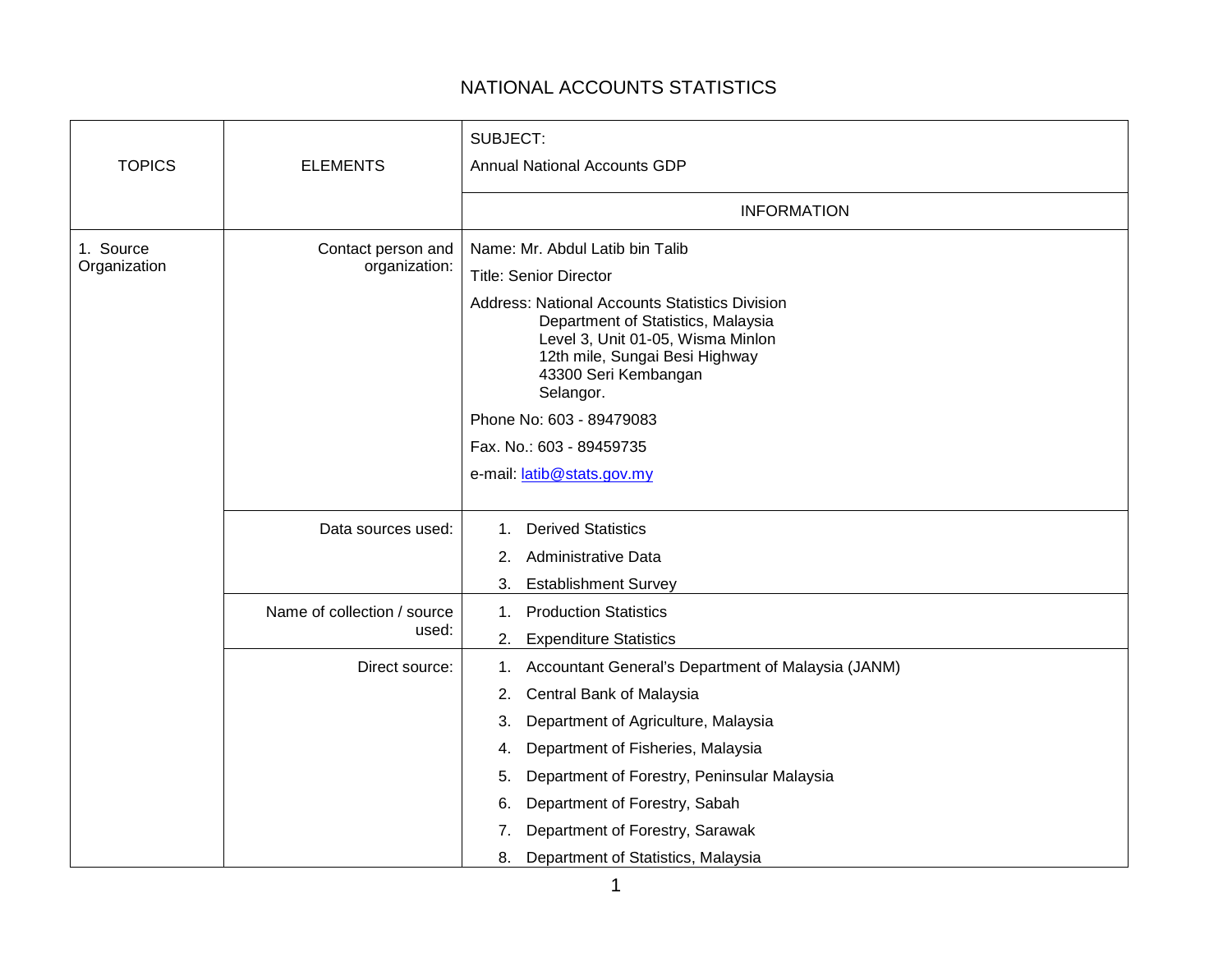## NATIONAL ACCOUNTS STATISTICS

|                           |                                      | SUBJECT:                                                                                                                                                                                                |
|---------------------------|--------------------------------------|---------------------------------------------------------------------------------------------------------------------------------------------------------------------------------------------------------|
|                           |                                      |                                                                                                                                                                                                         |
| <b>TOPICS</b>             | <b>ELEMENTS</b>                      | <b>Annual National Accounts GDP</b>                                                                                                                                                                     |
|                           |                                      | <b>INFORMATION</b>                                                                                                                                                                                      |
| 1. Source<br>Organization | Contact person and<br>organization:  | Name: Mr. Abdul Latib bin Talib                                                                                                                                                                         |
|                           |                                      | <b>Title: Senior Director</b>                                                                                                                                                                           |
|                           |                                      | <b>Address: National Accounts Statistics Division</b><br>Department of Statistics, Malaysia<br>Level 3, Unit 01-05, Wisma Minlon<br>12th mile, Sungai Besi Highway<br>43300 Seri Kembangan<br>Selangor. |
|                           |                                      | Phone No: 603 - 89479083                                                                                                                                                                                |
|                           |                                      | Fax. No.: 603 - 89459735                                                                                                                                                                                |
|                           |                                      | e-mail: latib@stats.gov.my                                                                                                                                                                              |
|                           |                                      |                                                                                                                                                                                                         |
|                           | Data sources used:                   | <b>Derived Statistics</b><br>$1_{-}$                                                                                                                                                                    |
|                           |                                      | Administrative Data<br>2.                                                                                                                                                                               |
|                           |                                      | <b>Establishment Survey</b><br>3.                                                                                                                                                                       |
|                           | Name of collection / source<br>used: | <b>Production Statistics</b><br>1.                                                                                                                                                                      |
|                           |                                      | <b>Expenditure Statistics</b><br>2.                                                                                                                                                                     |
|                           | Direct source:                       | Accountant General's Department of Malaysia (JANM)<br>1.                                                                                                                                                |
|                           |                                      | Central Bank of Malaysia<br>2.                                                                                                                                                                          |
|                           |                                      | Department of Agriculture, Malaysia<br>3.                                                                                                                                                               |
|                           |                                      | Department of Fisheries, Malaysia<br>4.                                                                                                                                                                 |
|                           |                                      | Department of Forestry, Peninsular Malaysia<br>5.                                                                                                                                                       |
|                           |                                      | Department of Forestry, Sabah<br>6.                                                                                                                                                                     |
|                           |                                      | Department of Forestry, Sarawak<br>7.                                                                                                                                                                   |
|                           |                                      | Department of Statistics, Malaysia<br>8.                                                                                                                                                                |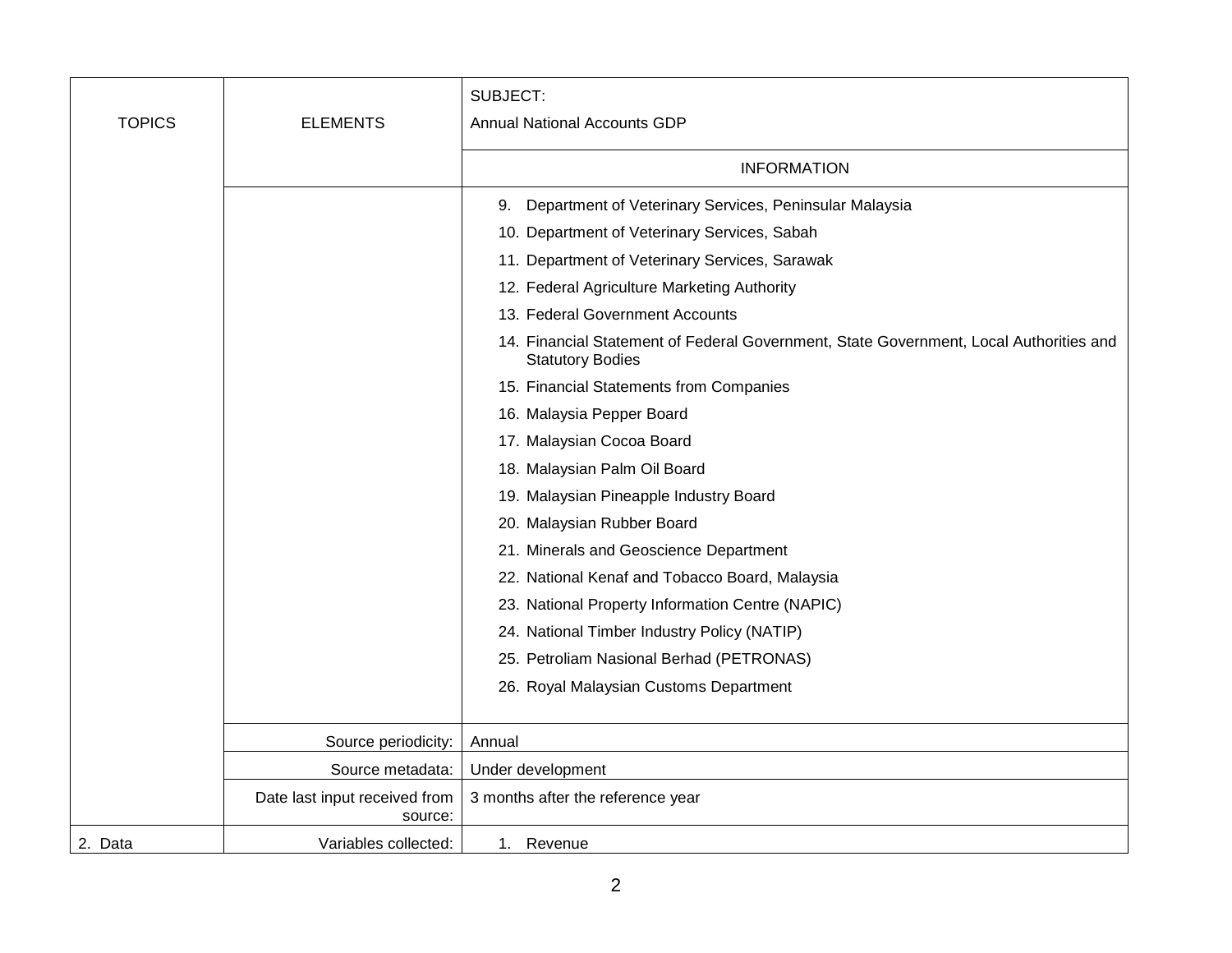| <b>TOPICS</b> | <b>ELEMENTS</b>                          | SUBJECT:<br><b>Annual National Accounts GDP</b>                                                                   |
|---------------|------------------------------------------|-------------------------------------------------------------------------------------------------------------------|
|               |                                          |                                                                                                                   |
|               |                                          | <b>INFORMATION</b>                                                                                                |
|               |                                          | Department of Veterinary Services, Peninsular Malaysia<br>9.                                                      |
|               |                                          | 10. Department of Veterinary Services, Sabah                                                                      |
|               |                                          | 11. Department of Veterinary Services, Sarawak                                                                    |
|               |                                          | 12. Federal Agriculture Marketing Authority                                                                       |
|               |                                          | 13. Federal Government Accounts                                                                                   |
|               |                                          | 14. Financial Statement of Federal Government, State Government, Local Authorities and<br><b>Statutory Bodies</b> |
|               |                                          | 15. Financial Statements from Companies                                                                           |
|               |                                          | 16. Malaysia Pepper Board                                                                                         |
|               |                                          | 17. Malaysian Cocoa Board                                                                                         |
|               |                                          | 18. Malaysian Palm Oil Board                                                                                      |
|               |                                          | 19. Malaysian Pineapple Industry Board                                                                            |
|               |                                          | 20. Malaysian Rubber Board                                                                                        |
|               |                                          | 21. Minerals and Geoscience Department                                                                            |
|               |                                          | 22. National Kenaf and Tobacco Board, Malaysia                                                                    |
|               |                                          | 23. National Property Information Centre (NAPIC)                                                                  |
|               |                                          | 24. National Timber Industry Policy (NATIP)                                                                       |
|               |                                          | 25. Petroliam Nasional Berhad (PETRONAS)                                                                          |
|               |                                          | 26. Royal Malaysian Customs Department                                                                            |
|               |                                          |                                                                                                                   |
|               | Source periodicity:                      | Annual                                                                                                            |
|               | Source metadata:                         | Under development                                                                                                 |
|               | Date last input received from<br>source: | 3 months after the reference year                                                                                 |
| 2. Data       | Variables collected:                     | 1. Revenue                                                                                                        |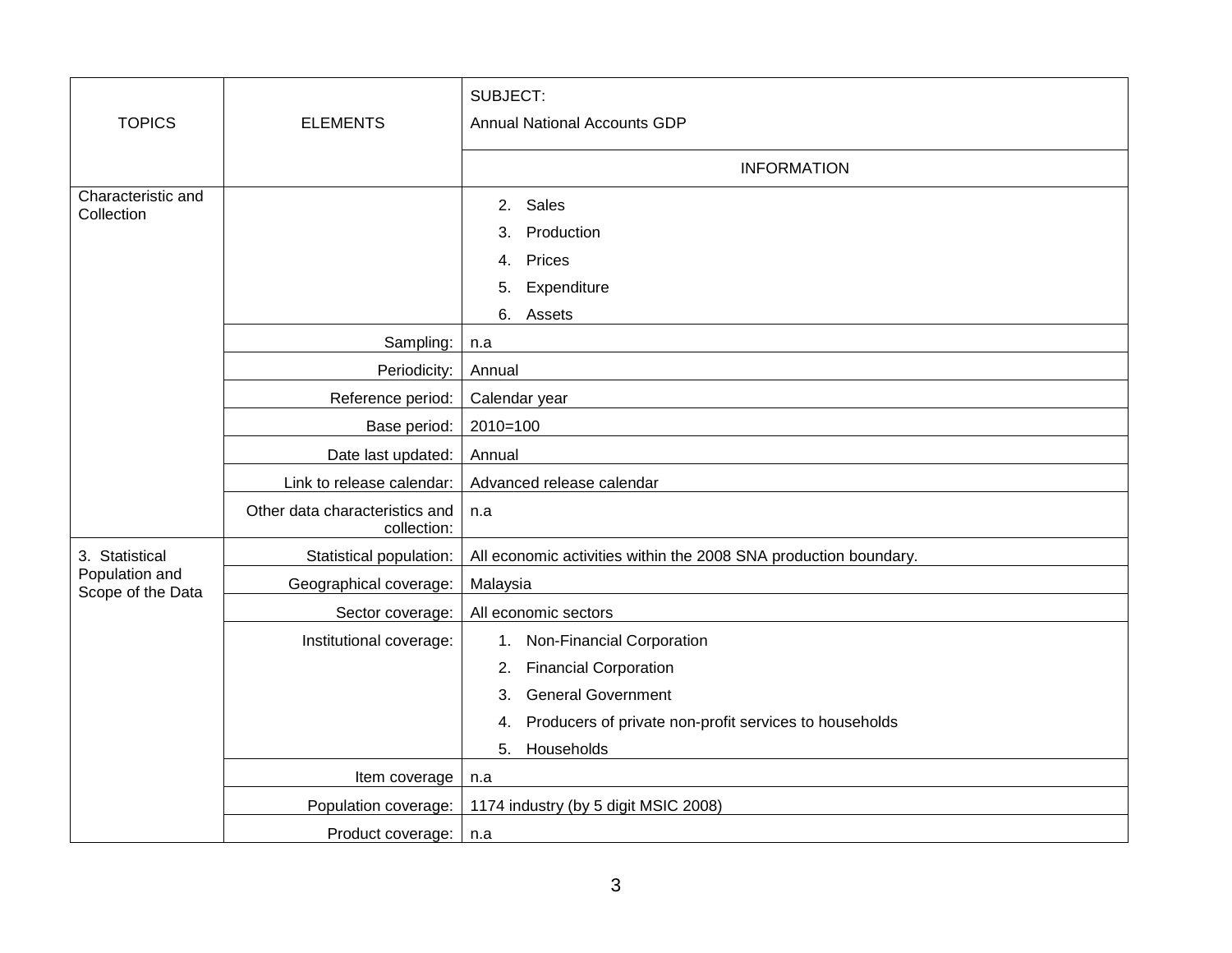|                                     |                                               | SUBJECT:                                                         |
|-------------------------------------|-----------------------------------------------|------------------------------------------------------------------|
| <b>TOPICS</b>                       | <b>ELEMENTS</b>                               | <b>Annual National Accounts GDP</b>                              |
|                                     |                                               | <b>INFORMATION</b>                                               |
| Characteristic and<br>Collection    |                                               | Sales<br>2.                                                      |
|                                     |                                               | Production<br>3.                                                 |
|                                     |                                               | Prices<br>4.                                                     |
|                                     |                                               | Expenditure<br>5.                                                |
|                                     |                                               | 6.<br>Assets                                                     |
|                                     | Sampling:                                     | n.a                                                              |
|                                     | Periodicity:                                  | Annual                                                           |
|                                     | Reference period:                             | Calendar year                                                    |
|                                     | Base period:                                  | $2010=100$                                                       |
|                                     | Date last updated:                            | Annual                                                           |
|                                     | Link to release calendar:                     | Advanced release calendar                                        |
|                                     | Other data characteristics and<br>collection: | n.a                                                              |
| 3. Statistical                      | Statistical population:                       | All economic activities within the 2008 SNA production boundary. |
| Population and<br>Scope of the Data | Geographical coverage:                        | Malaysia                                                         |
|                                     | Sector coverage:                              | All economic sectors                                             |
|                                     | Institutional coverage:                       | 1. Non-Financial Corporation                                     |
|                                     |                                               | <b>Financial Corporation</b><br>2.                               |
|                                     |                                               | <b>General Government</b><br>3.                                  |
|                                     |                                               | Producers of private non-profit services to households<br>4.     |
|                                     |                                               | Households<br>5.                                                 |
|                                     | Item coverage                                 | n.a                                                              |
|                                     | Population coverage:                          | 1174 industry (by 5 digit MSIC 2008)                             |
|                                     | Product coverage:                             | n.a                                                              |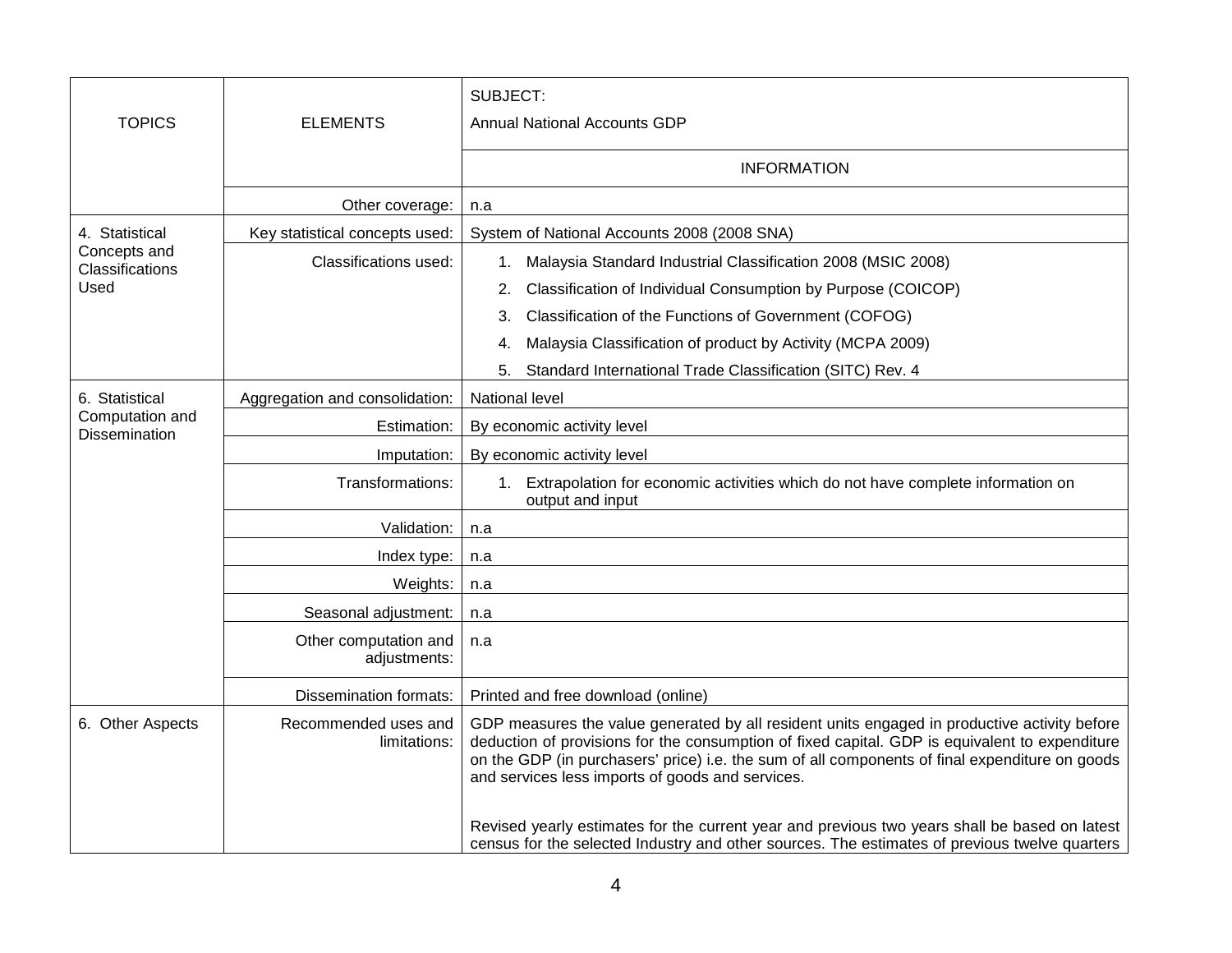| <b>TOPICS</b>                    | <b>ELEMENTS</b>                       | SUBJECT:<br><b>Annual National Accounts GDP</b>                                                                                                                                                                                                                                                                                                      |
|----------------------------------|---------------------------------------|------------------------------------------------------------------------------------------------------------------------------------------------------------------------------------------------------------------------------------------------------------------------------------------------------------------------------------------------------|
|                                  |                                       | <b>INFORMATION</b>                                                                                                                                                                                                                                                                                                                                   |
|                                  | Other coverage:                       | n.a                                                                                                                                                                                                                                                                                                                                                  |
| 4. Statistical                   | Key statistical concepts used:        | System of National Accounts 2008 (2008 SNA)                                                                                                                                                                                                                                                                                                          |
| Concepts and<br>Classifications  | Classifications used:                 | Malaysia Standard Industrial Classification 2008 (MSIC 2008)<br>1.                                                                                                                                                                                                                                                                                   |
| Used                             |                                       | Classification of Individual Consumption by Purpose (COICOP)<br>2.                                                                                                                                                                                                                                                                                   |
|                                  |                                       | Classification of the Functions of Government (COFOG)<br>3.                                                                                                                                                                                                                                                                                          |
|                                  |                                       | Malaysia Classification of product by Activity (MCPA 2009)<br>4.                                                                                                                                                                                                                                                                                     |
|                                  |                                       | Standard International Trade Classification (SITC) Rev. 4<br>5.                                                                                                                                                                                                                                                                                      |
| 6. Statistical                   | Aggregation and consolidation:        | National level                                                                                                                                                                                                                                                                                                                                       |
| Computation and<br>Dissemination | Estimation:                           | By economic activity level                                                                                                                                                                                                                                                                                                                           |
|                                  | Imputation:                           | By economic activity level                                                                                                                                                                                                                                                                                                                           |
|                                  | Transformations:                      | 1. Extrapolation for economic activities which do not have complete information on<br>output and input                                                                                                                                                                                                                                               |
|                                  | Validation:                           | n.a                                                                                                                                                                                                                                                                                                                                                  |
|                                  | Index type:                           | n.a                                                                                                                                                                                                                                                                                                                                                  |
|                                  | Weights:                              | n.a                                                                                                                                                                                                                                                                                                                                                  |
|                                  | Seasonal adjustment:                  | n.a                                                                                                                                                                                                                                                                                                                                                  |
|                                  | Other computation and<br>adjustments: | n.a                                                                                                                                                                                                                                                                                                                                                  |
|                                  | <b>Dissemination formats:</b>         | Printed and free download (online)                                                                                                                                                                                                                                                                                                                   |
| 6. Other Aspects                 | Recommended uses and<br>limitations:  | GDP measures the value generated by all resident units engaged in productive activity before<br>deduction of provisions for the consumption of fixed capital. GDP is equivalent to expenditure<br>on the GDP (in purchasers' price) i.e. the sum of all components of final expenditure on goods<br>and services less imports of goods and services. |
|                                  |                                       | Revised yearly estimates for the current year and previous two years shall be based on latest<br>census for the selected Industry and other sources. The estimates of previous twelve quarters                                                                                                                                                       |